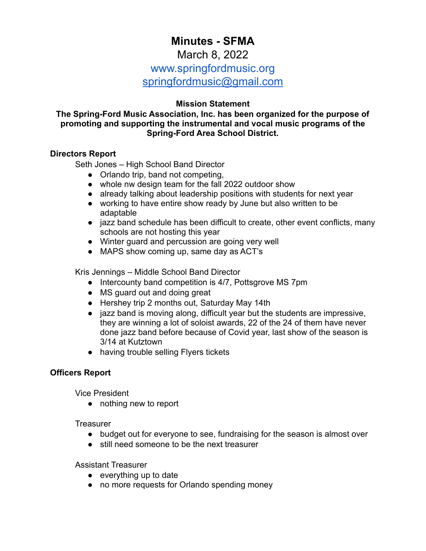# **Minutes - SFMA**

# March 8, 2022

# www.springfordmusic.org

[springfordmusic@gmail.com](mailto:springfordmusic@gmail.com)

## **Mission Statement**

#### **The Spring-Ford Music Association, Inc. has been organized for the purpose of promoting and supporting the instrumental and vocal music programs of the Spring-Ford Area School District.**

#### **Directors Report**

Seth Jones – High School Band Director

- Orlando trip, band not competing,
- whole nw design team for the fall 2022 outdoor show
- already talking about leadership positions with students for next year
- working to have entire show ready by June but also written to be adaptable
- jazz band schedule has been difficult to create, other event conflicts, many schools are not hosting this year
- Winter guard and percussion are going very well
- MAPS show coming up, same day as ACT's

Kris Jennings – Middle School Band Director

- Intercounty band competition is 4/7, Pottsgrove MS 7pm
- MS guard out and doing great
- Hershey trip 2 months out, Saturday May 14th
- jazz band is moving along, difficult year but the students are impressive, they are winning a lot of soloist awards, 22 of the 24 of them have never done jazz band before because of Covid year, last show of the season is 3/14 at Kutztown
- having trouble selling Flyers tickets

#### **Officers Report**

Vice President

● nothing new to report

**Treasurer** 

- budget out for everyone to see, fundraising for the season is almost over
- still need someone to be the next treasurer

Assistant Treasurer

- $\bullet$  everything up to date
- no more requests for Orlando spending money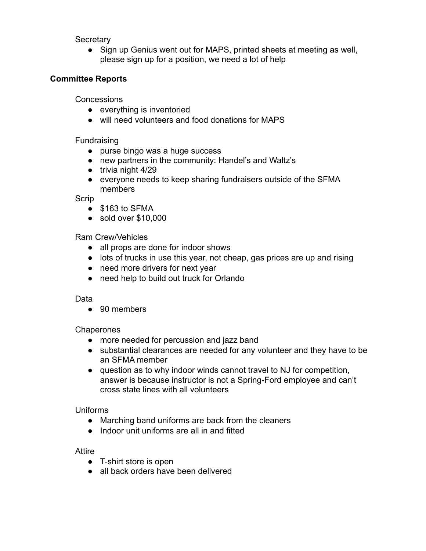**Secretary** 

• Sign up Genius went out for MAPS, printed sheets at meeting as well, please sign up for a position, we need a lot of help

## **Committee Reports**

**Concessions** 

- everything is inventoried
- will need volunteers and food donations for MAPS

#### **Fundraising**

- purse bingo was a huge success
- new partners in the community: Handel's and Waltz's
- trivia night 4/29
- everyone needs to keep sharing fundraisers outside of the SFMA members

Scrip

- \$163 to SFMA
- sold over \$10,000

#### Ram Crew/Vehicles

- all props are done for indoor shows
- lots of trucks in use this year, not cheap, gas prices are up and rising
- need more drivers for next year
- need help to build out truck for Orlando

#### Data

● 90 members

#### **Chaperones**

- more needed for percussion and jazz band
- substantial clearances are needed for any volunteer and they have to be an SFMA member
- question as to why indoor winds cannot travel to NJ for competition, answer is because instructor is not a Spring-Ford employee and can't cross state lines with all volunteers

#### Uniforms

- Marching band uniforms are back from the cleaners
- Indoor unit uniforms are all in and fitted

#### Attire

- T-shirt store is open
- all back orders have been delivered